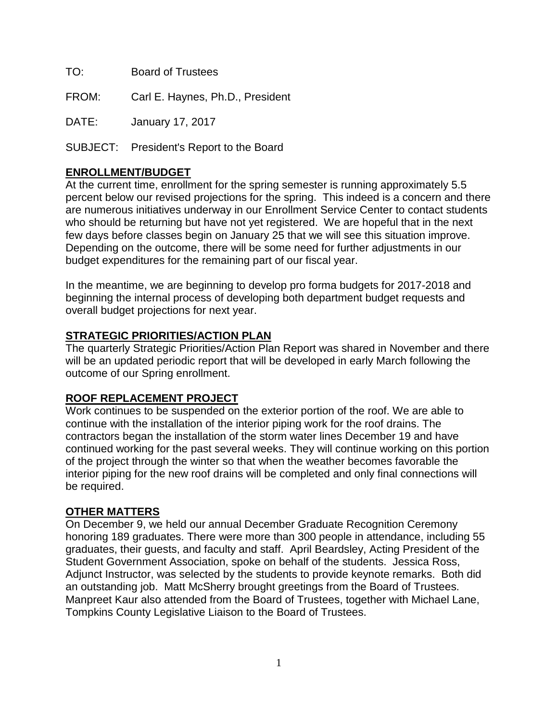TO: Board of Trustees

FROM: Carl E. Haynes, Ph.D., President

DATE: January 17, 2017

SUBJECT: President's Report to the Board

## **ENROLLMENT/BUDGET**

At the current time, enrollment for the spring semester is running approximately 5.5 percent below our revised projections for the spring. This indeed is a concern and there are numerous initiatives underway in our Enrollment Service Center to contact students who should be returning but have not yet registered. We are hopeful that in the next few days before classes begin on January 25 that we will see this situation improve. Depending on the outcome, there will be some need for further adjustments in our budget expenditures for the remaining part of our fiscal year.

In the meantime, we are beginning to develop pro forma budgets for 2017-2018 and beginning the internal process of developing both department budget requests and overall budget projections for next year.

## **STRATEGIC PRIORITIES/ACTION PLAN**

The quarterly Strategic Priorities/Action Plan Report was shared in November and there will be an updated periodic report that will be developed in early March following the outcome of our Spring enrollment.

## **ROOF REPLACEMENT PROJECT**

Work continues to be suspended on the exterior portion of the roof. We are able to continue with the installation of the interior piping work for the roof drains. The contractors began the installation of the storm water lines December 19 and have continued working for the past several weeks. They will continue working on this portion of the project through the winter so that when the weather becomes favorable the interior piping for the new roof drains will be completed and only final connections will be required.

## **OTHER MATTERS**

On December 9, we held our annual December Graduate Recognition Ceremony honoring 189 graduates. There were more than 300 people in attendance, including 55 graduates, their guests, and faculty and staff. April Beardsley, Acting President of the Student Government Association, spoke on behalf of the students. Jessica Ross, Adjunct Instructor, was selected by the students to provide keynote remarks. Both did an outstanding job. Matt McSherry brought greetings from the Board of Trustees. Manpreet Kaur also attended from the Board of Trustees, together with Michael Lane, Tompkins County Legislative Liaison to the Board of Trustees.